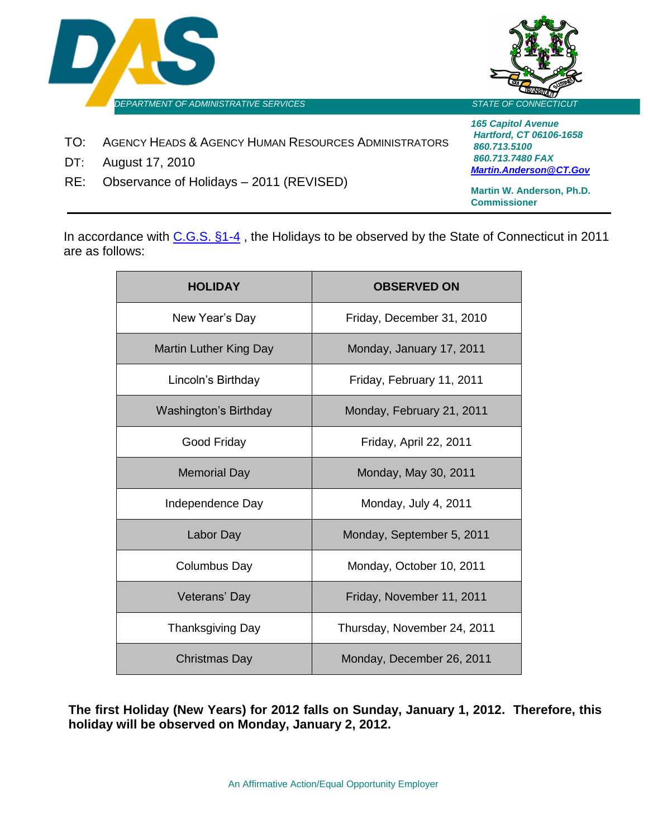



- TO: AGENCY HEADS & AGENCY HUMAN RESOURCES ADMINISTRATORS
- DT: August 17, 2010
- RE: Observance of Holidays 2011 (REVISED)

*165 Capitol Avenue Hartford, CT 06106-1658 860.713.5100 860.713.7480 FAX [Martin.Anderson@CT.Gov](mailto:Martin.Anderson@CT.Gov)*

**Martin W. Anderson, Ph.D. Commissioner**

In accordance with [C.G.S. §1-4](http://www.cga.ct.gov/2009/pub/chap002.htm), the Holidays to be observed by the State of Connecticut in 2011 are as follows:

| <b>HOLIDAY</b>                | <b>OBSERVED ON</b>          |
|-------------------------------|-----------------------------|
| New Year's Day                | Friday, December 31, 2010   |
| <b>Martin Luther King Day</b> | Monday, January 17, 2011    |
| Lincoln's Birthday            | Friday, February 11, 2011   |
| Washington's Birthday         | Monday, February 21, 2011   |
| Good Friday                   | Friday, April 22, 2011      |
| <b>Memorial Day</b>           | Monday, May 30, 2011        |
| Independence Day              | Monday, July 4, 2011        |
| Labor Day                     | Monday, September 5, 2011   |
| <b>Columbus Day</b>           | Monday, October 10, 2011    |
| Veterans' Day                 | Friday, November 11, 2011   |
| <b>Thanksgiving Day</b>       | Thursday, November 24, 2011 |
| Christmas Day                 | Monday, December 26, 2011   |

**The first Holiday (New Years) for 2012 falls on Sunday, January 1, 2012. Therefore, this holiday will be observed on Monday, January 2, 2012.**